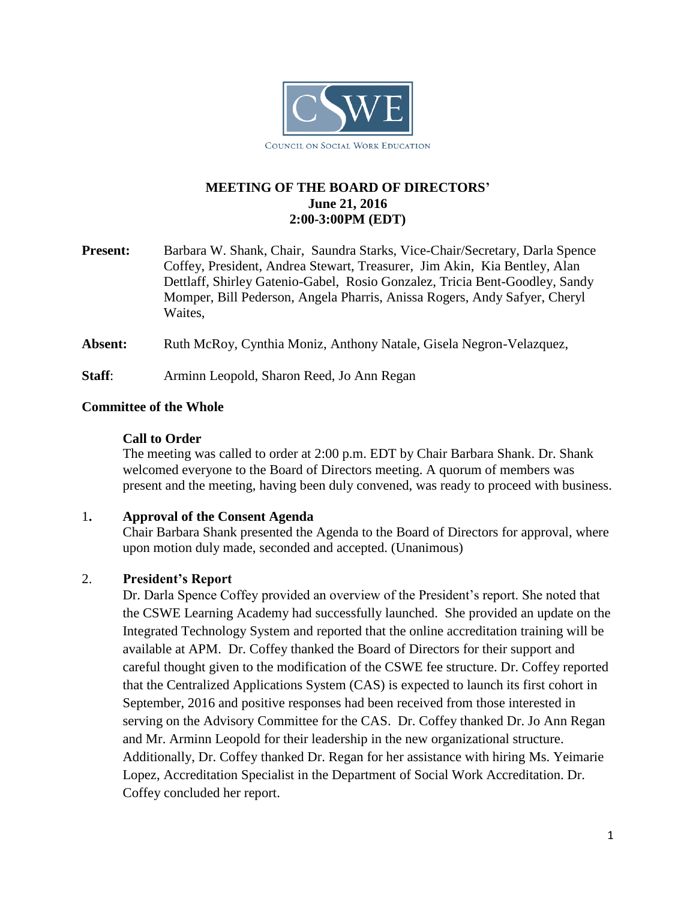

# **MEETING OF THE BOARD OF DIRECTORS' June 21, 2016 2:00-3:00PM (EDT)**

- **Present:** Barbara W. Shank, Chair, Saundra Starks, Vice-Chair/Secretary, Darla Spence Coffey, President, Andrea Stewart, Treasurer, Jim Akin, Kia Bentley, Alan Dettlaff, Shirley Gatenio-Gabel, Rosio Gonzalez, Tricia Bent-Goodley, Sandy Momper, Bill Pederson, Angela Pharris, Anissa Rogers, Andy Safyer, Cheryl Waites,
- **Absent:** Ruth McRoy, Cynthia Moniz, Anthony Natale, Gisela Negron-Velazquez,
- **Staff:** Arminn Leopold, Sharon Reed, Jo Ann Regan

#### **Committee of the Whole**

#### **Call to Order**

The meeting was called to order at 2:00 p.m. EDT by Chair Barbara Shank. Dr. Shank welcomed everyone to the Board of Directors meeting. A quorum of members was present and the meeting, having been duly convened, was ready to proceed with business.

#### 1**. Approval of the Consent Agenda**

Chair Barbara Shank presented the Agenda to the Board of Directors for approval, where upon motion duly made, seconded and accepted. (Unanimous)

# 2. **President's Report**

Dr. Darla Spence Coffey provided an overview of the President's report. She noted that the CSWE Learning Academy had successfully launched. She provided an update on the Integrated Technology System and reported that the online accreditation training will be available at APM. Dr. Coffey thanked the Board of Directors for their support and careful thought given to the modification of the CSWE fee structure. Dr. Coffey reported that the Centralized Applications System (CAS) is expected to launch its first cohort in September, 2016 and positive responses had been received from those interested in serving on the Advisory Committee for the CAS. Dr. Coffey thanked Dr. Jo Ann Regan and Mr. Arminn Leopold for their leadership in the new organizational structure. Additionally, Dr. Coffey thanked Dr. Regan for her assistance with hiring Ms. Yeimarie Lopez, Accreditation Specialist in the Department of Social Work Accreditation. Dr. Coffey concluded her report.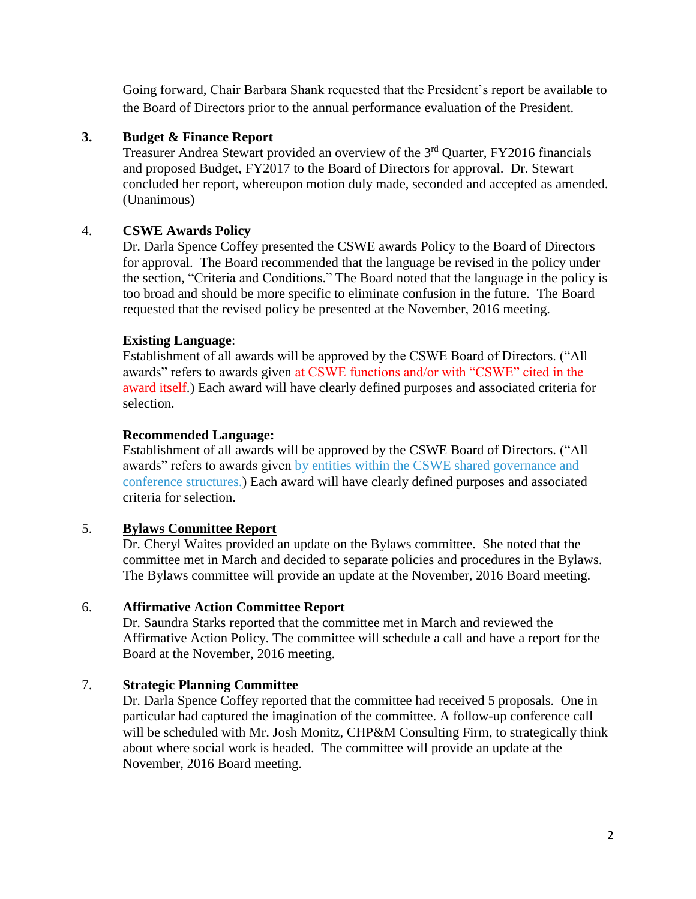Going forward, Chair Barbara Shank requested that the President's report be available to the Board of Directors prior to the annual performance evaluation of the President.

# **3. Budget & Finance Report**

Treasurer Andrea Stewart provided an overview of the 3<sup>rd</sup> Quarter, FY2016 financials and proposed Budget, FY2017 to the Board of Directors for approval. Dr. Stewart concluded her report, whereupon motion duly made, seconded and accepted as amended. (Unanimous)

# 4. **CSWE Awards Policy**

Dr. Darla Spence Coffey presented the CSWE awards Policy to the Board of Directors for approval. The Board recommended that the language be revised in the policy under the section, "Criteria and Conditions." The Board noted that the language in the policy is too broad and should be more specific to eliminate confusion in the future. The Board requested that the revised policy be presented at the November, 2016 meeting.

# **Existing Language**:

Establishment of all awards will be approved by the CSWE Board of Directors. ("All awards" refers to awards given at CSWE functions and/or with "CSWE" cited in the award itself.) Each award will have clearly defined purposes and associated criteria for selection.

# **Recommended Language:**

Establishment of all awards will be approved by the CSWE Board of Directors. ("All awards" refers to awards given by entities within the CSWE shared governance and conference structures.) Each award will have clearly defined purposes and associated criteria for selection.

# 5. **Bylaws Committee Report**

Dr. Cheryl Waites provided an update on the Bylaws committee. She noted that the committee met in March and decided to separate policies and procedures in the Bylaws. The Bylaws committee will provide an update at the November, 2016 Board meeting.

# 6. **Affirmative Action Committee Report**

Dr. Saundra Starks reported that the committee met in March and reviewed the Affirmative Action Policy. The committee will schedule a call and have a report for the Board at the November, 2016 meeting.

# 7. **Strategic Planning Committee**

Dr. Darla Spence Coffey reported that the committee had received 5 proposals. One in particular had captured the imagination of the committee. A follow-up conference call will be scheduled with Mr. Josh Monitz, CHP&M Consulting Firm, to strategically think about where social work is headed. The committee will provide an update at the November, 2016 Board meeting.